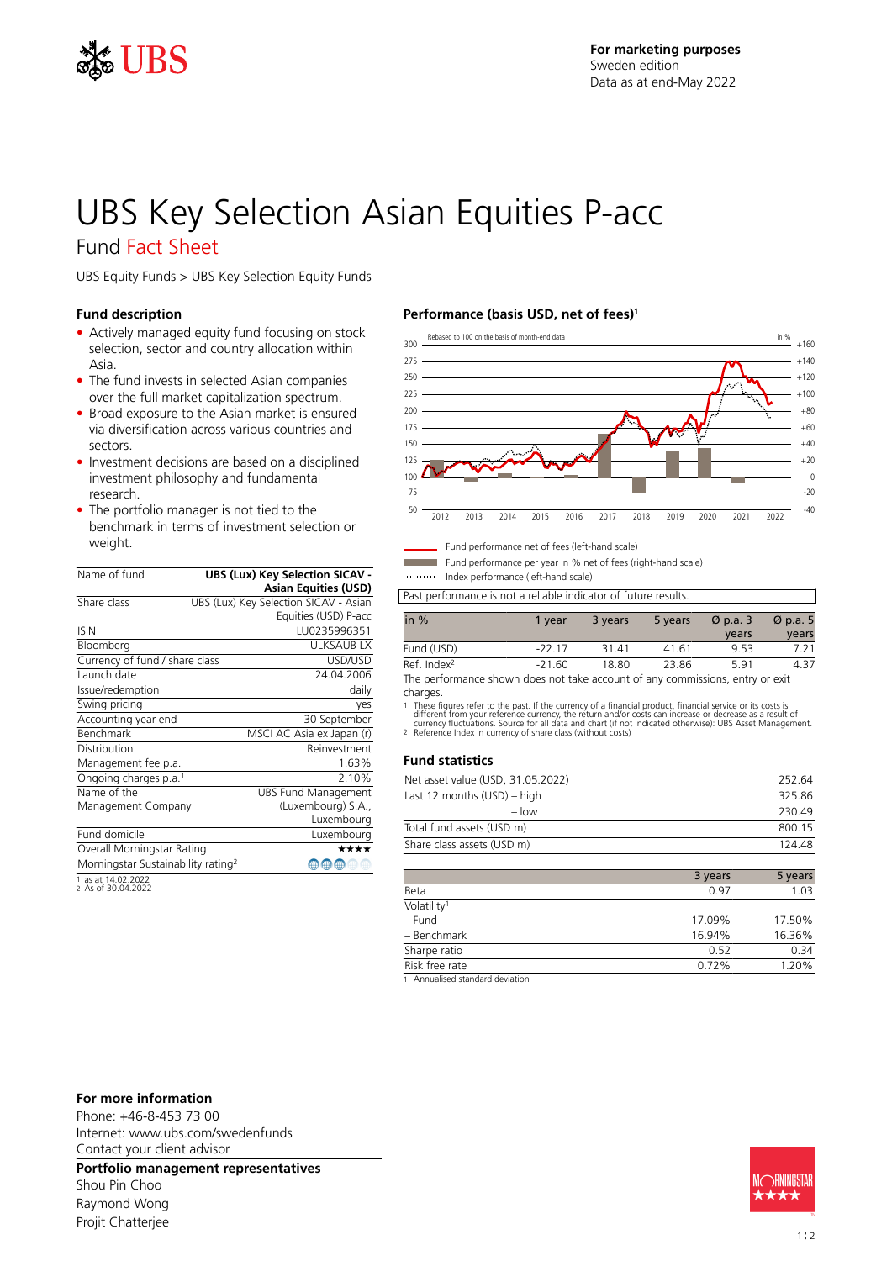

# UBS Key Selection Asian Equities P-acc

### Fund Fact Sheet

UBS Equity Funds > UBS Key Selection Equity Funds

### **Fund description**

- Actively managed equity fund focusing on stock selection, sector and country allocation within Asia.
- The fund invests in selected Asian companies over the full market capitalization spectrum.
- Broad exposure to the Asian market is ensured via diversification across various countries and sectors.
- Investment decisions are based on a disciplined investment philosophy and fundamental research.
- The portfolio manager is not tied to the benchmark in terms of investment selection or weight.

| Name of fund                                   | <b>UBS (Lux) Key Selection SICAV -</b> |
|------------------------------------------------|----------------------------------------|
|                                                | <b>Asian Equities (USD)</b>            |
| Share class                                    | UBS (Lux) Key Selection SICAV - Asian  |
|                                                | Equities (USD) P-acc                   |
| <b>ISIN</b>                                    | LU0235996351                           |
| Bloomberg                                      | <b>ULKSAUBLX</b>                       |
| Currency of fund / share class                 | USD/USD                                |
| Launch date                                    | 24.04.2006                             |
| Issue/redemption                               | daily                                  |
| Swing pricing                                  | yes                                    |
| Accounting year end                            | 30 September                           |
| <b>Benchmark</b>                               | MSCI AC Asia ex Japan (r)              |
| Distribution                                   | Reinvestment                           |
| Management fee p.a.                            | 1.63%                                  |
| Ongoing charges p.a. <sup>1</sup>              | 2.10%                                  |
| Name of the                                    | <b>UBS Fund Management</b>             |
| Management Company                             | (Luxembourg) S.A.,                     |
|                                                | Luxembourg                             |
| Fund domicile                                  | Luxembourg                             |
| Overall Morningstar Rating                     | ****                                   |
| Morningstar Sustainability rating <sup>2</sup> | ⊕<br>⊕                                 |
| 1 as at 14.02.2022                             |                                        |

1 as at 14.02.2022 2 As of 30.04.2022

### **Performance (basis USD, net of fees)<sup>1</sup>**



Fund performance net of fees (left-hand scale)

Fund performance per year in % net of fees (right-hand scale)

Index performance (left-hand scale)

Past performance is not a reliable indicator of future results.

| in $%$                                                                       | 1 vear   | 3 years | 5 years | $\varnothing$ p.a. 3 | $\varnothing$ p.a. 5 |
|------------------------------------------------------------------------------|----------|---------|---------|----------------------|----------------------|
|                                                                              |          |         |         | vears                | years                |
| Fund (USD)                                                                   | -22 17   | 3141    | 41.61   | 953                  |                      |
| Ref. Index <sup>2</sup>                                                      | $-21.60$ | 18.80   | 23.86   | 591                  | 437                  |
| The nerformance shown does not take account of any commissions entry or exit |          |         |         |                      |                      |

The performance shown does not take account of any commissions, entry or exit charges.

1 These figures refer to the past. If the currency of a financial product, financial service or its costs is<br>different from your reference currency, the return and/or costs can increase or decrease as a result of<br>currency

### **Fund statistics**

| Net asset value (USD, 31.05.2022) | 252.64 |
|-----------------------------------|--------|
| Last 12 months (USD) – high       | 32586  |
| $-$ low                           | 230.49 |
| Total fund assets (USD m)         | 800.15 |
| Share class assets (USD m)        | 124 48 |

|                         | 3 years | 5 years |
|-------------------------|---------|---------|
| Beta                    | 0.97    | 1.03    |
| Volatility <sup>1</sup> |         |         |
| - Fund                  | 17.09%  | 17.50%  |
| - Benchmark             | 16.94%  | 16.36%  |
| Sharpe ratio            | 0.52    | 0.34    |
| Risk free rate          | 0.72%   | 1.20%   |
|                         |         |         |

1 Annualised standard deviation

### **For more information**

Phone: +46-8-453 73 00 Internet: www.ubs.com/swedenfunds Contact your client advisor

**Portfolio management representatives**

Shou Pin Choo Raymond Wong Projit Chatterjee